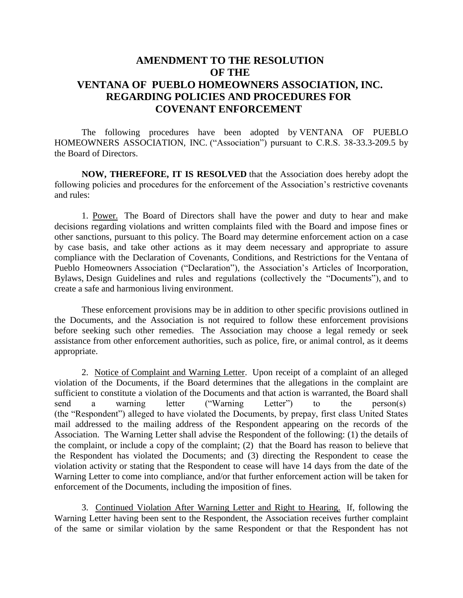## **AMENDMENT TO THE RESOLUTION OF THE VENTANA OF PUEBLO HOMEOWNERS ASSOCIATION, INC. REGARDING POLICIES AND PROCEDURES FOR COVENANT ENFORCEMENT**

The following procedures have been adopted by VENTANA OF PUEBLO HOMEOWNERS ASSOCIATION, INC. ("Association") pursuant to C.R.S. 38-33.3-209.5 by the Board of Directors.

**NOW, THEREFORE, IT IS RESOLVED** that the Association does hereby adopt the following policies and procedures for the enforcement of the Association's restrictive covenants and rules:

1. Power. The Board of Directors shall have the power and duty to hear and make decisions regarding violations and written complaints filed with the Board and impose fines or other sanctions, pursuant to this policy. The Board may determine enforcement action on a case by case basis, and take other actions as it may deem necessary and appropriate to assure compliance with the Declaration of Covenants, Conditions, and Restrictions for the Ventana of Pueblo Homeowners Association ("Declaration"), the Association's Articles of Incorporation, Bylaws, Design Guidelines and rules and regulations (collectively the "Documents"), and to create a safe and harmonious living environment.

These enforcement provisions may be in addition to other specific provisions outlined in the Documents, and the Association is not required to follow these enforcement provisions before seeking such other remedies. The Association may choose a legal remedy or seek assistance from other enforcement authorities, such as police, fire, or animal control, as it deems appropriate.

2. Notice of Complaint and Warning Letter. Upon receipt of a complaint of an alleged violation of the Documents, if the Board determines that the allegations in the complaint are sufficient to constitute a violation of the Documents and that action is warranted, the Board shall send a warning letter ("Warning Letter") to the person(s) (the "Respondent") alleged to have violated the Documents, by prepay, first class United States mail addressed to the mailing address of the Respondent appearing on the records of the Association. The Warning Letter shall advise the Respondent of the following: (1) the details of the complaint, or include a copy of the complaint; (2) that the Board has reason to believe that the Respondent has violated the Documents; and (3) directing the Respondent to cease the violation activity or stating that the Respondent to cease will have 14 days from the date of the Warning Letter to come into compliance, and/or that further enforcement action will be taken for enforcement of the Documents, including the imposition of fines.

3. Continued Violation After Warning Letter and Right to Hearing. If, following the Warning Letter having been sent to the Respondent, the Association receives further complaint of the same or similar violation by the same Respondent or that the Respondent has not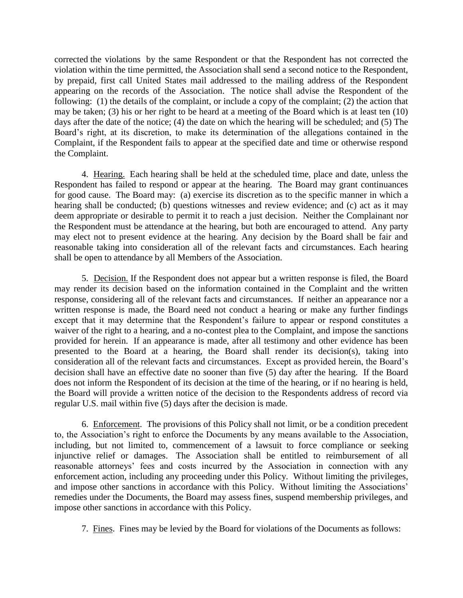corrected the violations by the same Respondent or that the Respondent has not corrected the violation within the time permitted, the Association shall send a second notice to the Respondent, by prepaid, first call United States mail addressed to the mailing address of the Respondent appearing on the records of the Association. The notice shall advise the Respondent of the following: (1) the details of the complaint, or include a copy of the complaint; (2) the action that may be taken; (3) his or her right to be heard at a meeting of the Board which is at least ten (10) days after the date of the notice; (4) the date on which the hearing will be scheduled; and (5) The Board's right, at its discretion, to make its determination of the allegations contained in the Complaint, if the Respondent fails to appear at the specified date and time or otherwise respond the Complaint.

4. Hearing. Each hearing shall be held at the scheduled time, place and date, unless the Respondent has failed to respond or appear at the hearing. The Board may grant continuances for good cause. The Board may: (a) exercise its discretion as to the specific manner in which a hearing shall be conducted; (b) questions witnesses and review evidence; and (c) act as it may deem appropriate or desirable to permit it to reach a just decision. Neither the Complainant nor the Respondent must be attendance at the hearing, but both are encouraged to attend. Any party may elect not to present evidence at the hearing. Any decision by the Board shall be fair and reasonable taking into consideration all of the relevant facts and circumstances. Each hearing shall be open to attendance by all Members of the Association.

5. Decision. If the Respondent does not appear but a written response is filed, the Board may render its decision based on the information contained in the Complaint and the written response, considering all of the relevant facts and circumstances. If neither an appearance nor a written response is made, the Board need not conduct a hearing or make any further findings except that it may determine that the Respondent's failure to appear or respond constitutes a waiver of the right to a hearing, and a no-contest plea to the Complaint, and impose the sanctions provided for herein. If an appearance is made, after all testimony and other evidence has been presented to the Board at a hearing, the Board shall render its decision(s), taking into consideration all of the relevant facts and circumstances. Except as provided herein, the Board's decision shall have an effective date no sooner than five (5) day after the hearing. If the Board does not inform the Respondent of its decision at the time of the hearing, or if no hearing is held, the Board will provide a written notice of the decision to the Respondents address of record via regular U.S. mail within five (5) days after the decision is made.

6. Enforcement. The provisions of this Policy shall not limit, or be a condition precedent to, the Association's right to enforce the Documents by any means available to the Association, including, but not limited to, commencement of a lawsuit to force compliance or seeking injunctive relief or damages. The Association shall be entitled to reimbursement of all reasonable attorneys' fees and costs incurred by the Association in connection with any enforcement action, including any proceeding under this Policy. Without limiting the privileges, and impose other sanctions in accordance with this Policy. Without limiting the Associations' remedies under the Documents, the Board may assess fines, suspend membership privileges, and impose other sanctions in accordance with this Policy.

7. Fines. Fines may be levied by the Board for violations of the Documents as follows: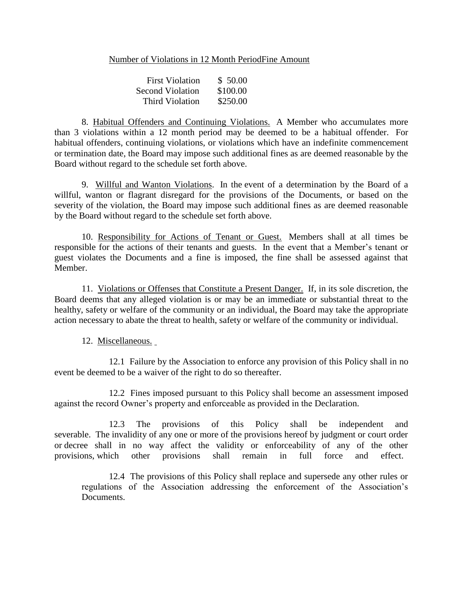## Number of Violations in 12 Month PeriodFine Amount

| <b>First Violation</b> | \$50.00  |
|------------------------|----------|
| Second Violation       | \$100.00 |
| Third Violation        | \$250.00 |

8. Habitual Offenders and Continuing Violations. A Member who accumulates more than 3 violations within a 12 month period may be deemed to be a habitual offender. For habitual offenders, continuing violations, or violations which have an indefinite commencement or termination date, the Board may impose such additional fines as are deemed reasonable by the Board without regard to the schedule set forth above.

9. Willful and Wanton Violations. In the event of a determination by the Board of a willful, wanton or flagrant disregard for the provisions of the Documents, or based on the severity of the violation, the Board may impose such additional fines as are deemed reasonable by the Board without regard to the schedule set forth above.

10. Responsibility for Actions of Tenant or Guest. Members shall at all times be responsible for the actions of their tenants and guests. In the event that a Member's tenant or guest violates the Documents and a fine is imposed, the fine shall be assessed against that Member.

11. Violations or Offenses that Constitute a Present Danger. If, in its sole discretion, the Board deems that any alleged violation is or may be an immediate or substantial threat to the healthy, safety or welfare of the community or an individual, the Board may take the appropriate action necessary to abate the threat to health, safety or welfare of the community or individual.

12. Miscellaneous.

12.1 Failure by the Association to enforce any provision of this Policy shall in no event be deemed to be a waiver of the right to do so thereafter.

12.2 Fines imposed pursuant to this Policy shall become an assessment imposed against the record Owner's property and enforceable as provided in the Declaration.

12.3 The provisions of this Policy shall be independent and severable. The invalidity of any one or more of the provisions hereof by judgment or court order or decree shall in no way affect the validity or enforceability of any of the other provisions, which other provisions shall remain in full force and effect.

12.4 The provisions of this Policy shall replace and supersede any other rules or regulations of the Association addressing the enforcement of the Association's Documents.